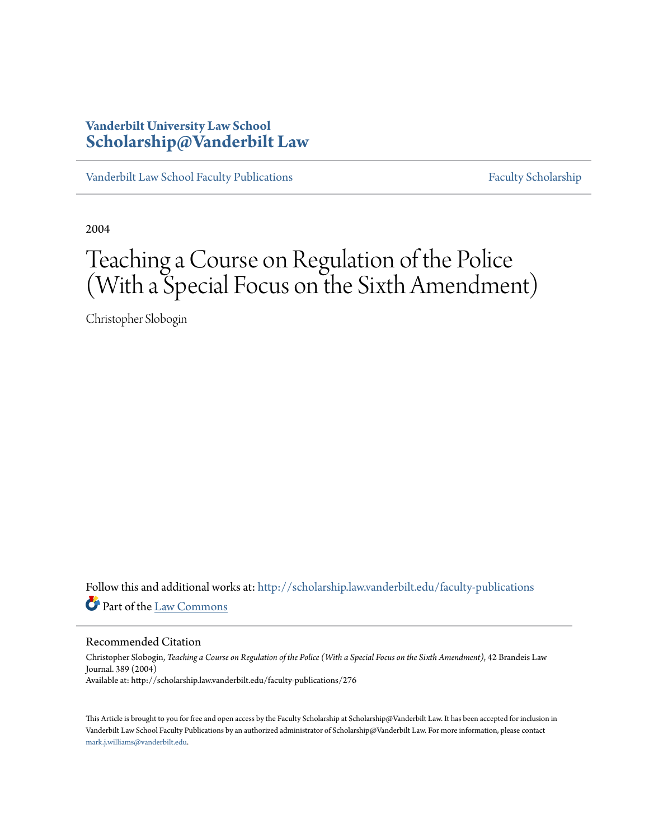# **Vanderbilt University Law School [Scholarship@Vanderbilt Law](http://scholarship.law.vanderbilt.edu?utm_source=scholarship.law.vanderbilt.edu%2Ffaculty-publications%2F276&utm_medium=PDF&utm_campaign=PDFCoverPages)**

[Vanderbilt Law School Faculty Publications](http://scholarship.law.vanderbilt.edu/faculty-publications?utm_source=scholarship.law.vanderbilt.edu%2Ffaculty-publications%2F276&utm_medium=PDF&utm_campaign=PDFCoverPages) [Faculty Scholarship](http://scholarship.law.vanderbilt.edu/faculty-scholarship?utm_source=scholarship.law.vanderbilt.edu%2Ffaculty-publications%2F276&utm_medium=PDF&utm_campaign=PDFCoverPages)

2004

# Teaching a Course on Regulation of the Police (With a Special Focus on the Sixth Amendment)

Christopher Slobogin

Follow this and additional works at: [http://scholarship.law.vanderbilt.edu/faculty-publications](http://scholarship.law.vanderbilt.edu/faculty-publications?utm_source=scholarship.law.vanderbilt.edu%2Ffaculty-publications%2F276&utm_medium=PDF&utm_campaign=PDFCoverPages) Part of the [Law Commons](http://network.bepress.com/hgg/discipline/578?utm_source=scholarship.law.vanderbilt.edu%2Ffaculty-publications%2F276&utm_medium=PDF&utm_campaign=PDFCoverPages)

Recommended Citation

Christopher Slobogin, *Teaching a Course on Regulation of the Police (With a Special Focus on the Sixth Amendment)*, 42 Brandeis Law Journal. 389 (2004) Available at: http://scholarship.law.vanderbilt.edu/faculty-publications/276

This Article is brought to you for free and open access by the Faculty Scholarship at Scholarship@Vanderbilt Law. It has been accepted for inclusion in Vanderbilt Law School Faculty Publications by an authorized administrator of Scholarship@Vanderbilt Law. For more information, please contact [mark.j.williams@vanderbilt.edu](mailto:mark.j.williams@vanderbilt.edu).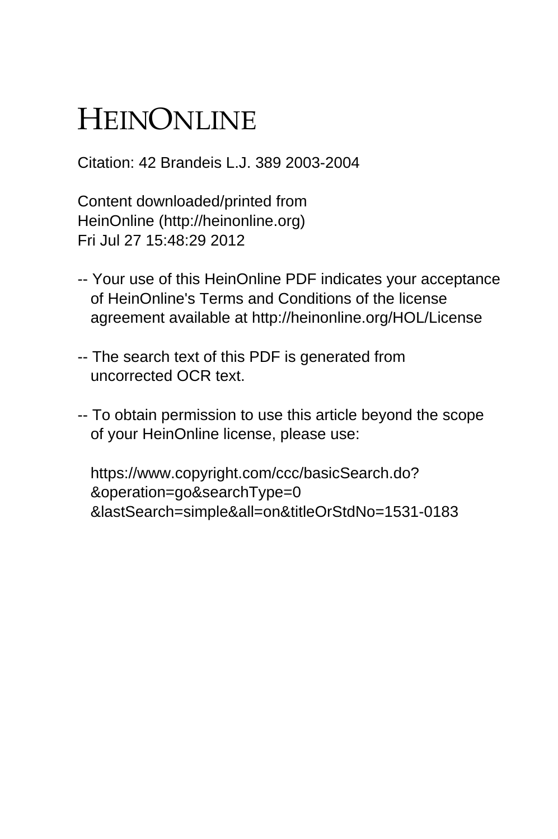# HEINONLINE

Citation: 42 Brandeis L.J. 389 2003-2004

Content downloaded/printed from HeinOnline (http://heinonline.org) Fri Jul 27 15:48:29 2012

- -- Your use of this HeinOnline PDF indicates your acceptance of HeinOnline's Terms and Conditions of the license agreement available at http://heinonline.org/HOL/License
- -- The search text of this PDF is generated from uncorrected OCR text.
- -- To obtain permission to use this article beyond the scope of your HeinOnline license, please use:

 https://www.copyright.com/ccc/basicSearch.do? &operation=go&searchType=0 &lastSearch=simple&all=on&titleOrStdNo=1531-0183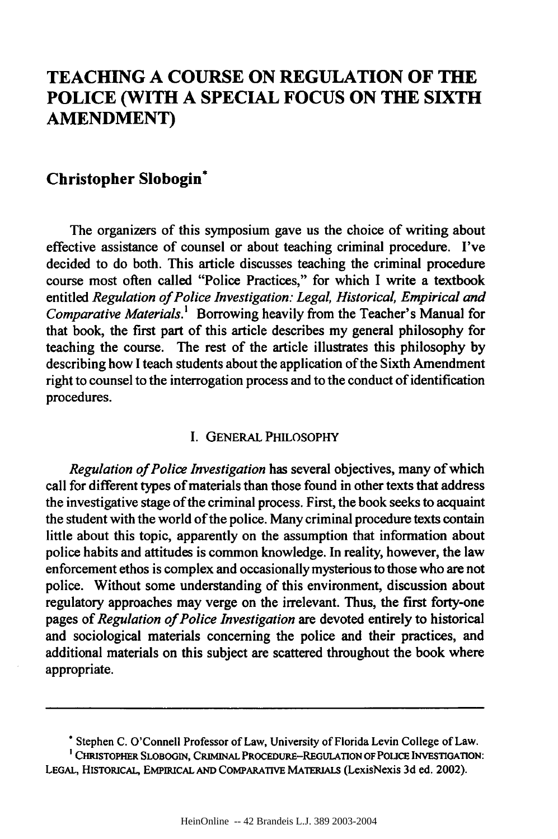# **TEACHING A COURSE ON REGULATION OF THE POLICE (WITH A SPECIAL FOCUS ON THE SIXTH AMENDMENT)**

# **Christopher Slobogin\***

The organizers of this symposium gave us the choice of writing about effective assistance of counsel or about teaching criminal procedure. I've decided to do both. This article discusses teaching the criminal procedure course most often called "Police Practices," for which **I** write a textbook entitled *Regulation of Police Investigation: Legal, Historical, Empirical and Comparative Materials.'* Borrowing heavily from the Teacher's Manual for that book, the first part of this article describes my general philosophy for teaching the course. The rest of the article illustrates this philosophy **by** describing how I teach students about the application of the Sixth Amendment right to counsel to the interrogation process and to the conduct of identification procedures.

#### I. GENERAL PHILOSOPHY

*Regulation of Police Investigation* has several objectives, many of which call for different types of materials than those found in other texts that address the investigative stage of the criminal process. First, the book seeks to acquaint the student with the world of the police. Many criminal procedure texts contain little about this topic, apparently on the assumption that information about police habits and attitudes is common knowledge. In reality, however, the law enforcement ethos is complex and occasionally mysterious to those who are not police. Without some understanding of this environment, discussion about regulatory approaches may verge on the irrelevant. Thus, the first forty-one pages of *Regulation of Police Investigation* are devoted entirely to historical and sociological materials concerning the police and their practices, and additional materials on this subject are scattered throughout the book where appropriate.

<sup>&</sup>quot;Stephen C. O'Connell Professor of Law, University of Florida Levin College of Law.

**<sup>&#</sup>x27;CHRISTOPHER SLOBOGIN, CRIMINAL PROCEDURE-REGULATION OF POLICE INVESTIGATION: LEGAL,** HISTORICAL, EPInuCAL **AND COMPARATIVE MATEmALs** (LexisNexis **3d** ed. 2002).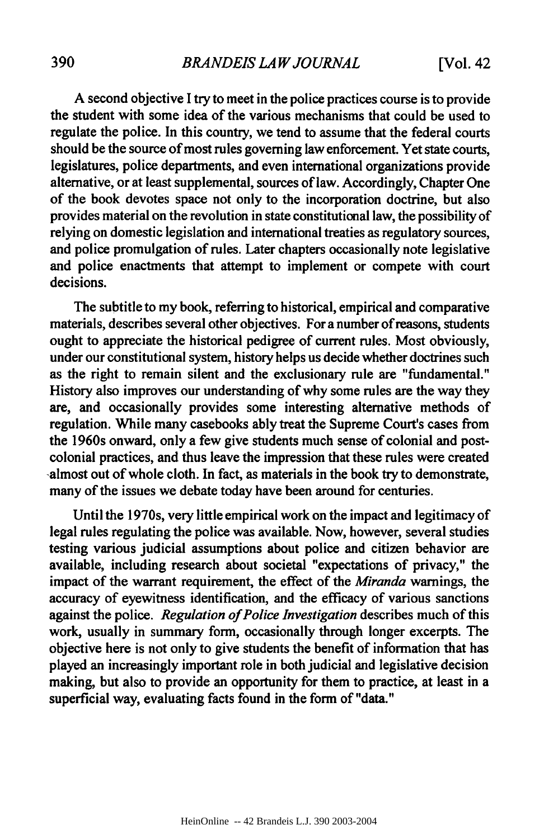A second objective I try to meet in the police practices course is to provide the student with some idea of the various mechanisms that could be used to regulate the police. In this country, we tend to assume that the federal courts should be the source of most rules governing law enforcement. Yet state courts, legislatures, police departments, and even international organizations provide alternative, or at least supplemental, sources of law. Accordingly, Chapter One of the book devotes space not only to the incorporation doctrine, but also provides material on the revolution in state constitutional law, the possibility of relying on domestic legislation and international treaties as regulatory sources, and police promulgation of rules. Later chapters occasionally note legislative and police enactments that attempt to implement or compete with court decisions.

The subtitle to my book, referring to historical, empirical and comparative materials, describes several other objectives. For a number of reasons, students ought to appreciate the historical pedigree of current rules. Most obviously, under our constitutional system, history helps us decide whether doctrines such as the right to remain silent and the exclusionary rule are "fundamental." History also improves our understanding of why some rules are the way they are, and occasionally provides some interesting alternative methods of regulation. While many casebooks ably treat the Supreme Court's cases from the 1960s onward, only a few give students much sense of colonial and postcolonial practices, and thus leave the impression that these rules were created -almost out of whole cloth. In fact, as materials in the book try to demonstrate, many of the issues we debate today have been around for centuries.

Until the 1970s, very little empirical work on the impact and legitimacy of legal rules regulating the police was available. Now, however, several studies testing various judicial assumptions about police and citizen behavior are available, including research about societal "expectations of privacy," the impact of the warrant requirement, the effect of the *Miranda* warnings, the accuracy of eyewitness identification, and the efficacy of various sanctions against the police. *Regulation of Police Investigation* describes much of this work, usually in summary form, occasionally through longer excerpts. The objective here is not only to give students the benefit of information that has played an increasingly important role in both judicial and legislative decision making, but also to provide an opportunity for them to practice, at least in a superficial way, evaluating facts found in the form of "data."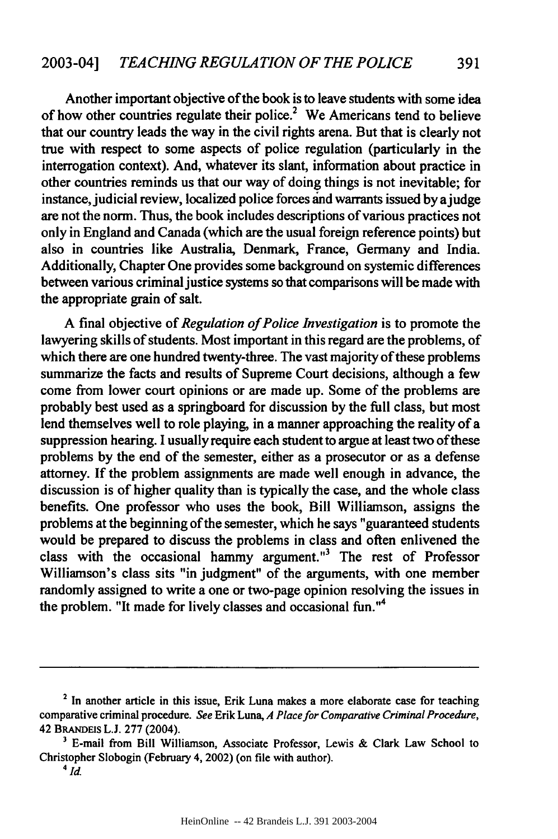Another important objective of the book is to leave students with some idea of how other countries regulate their police.<sup>2</sup> We Americans tend to believe that our country leads the way in the civil rights arena. But that is clearly not true with respect to some aspects of police regulation (particularly in the interrogation context). And, whatever its slant, information about practice in other countries reminds us that our way of doing things is not inevitable; for instance, judicial review, localized police forces and warrants issued by ajudge are not the norm. Thus, the book includes descriptions of various practices not only in England and Canada (which are the usual foreign reference points) but also in countries like Australia, Denmark, France, Germany and India. Additionally, Chapter One provides some background on systemic differences between various criminal justice systems so that comparisons will be made with the appropriate grain of salt.

A final objective of *Regulation of Police Investigation* is to promote the lawyering skills of students. Most important in this regard are the problems, of which there are one hundred twenty-three. The vast majority of these problems summarize the facts and results of Supreme Court decisions, although a few come from lower court opinions or are made up. Some of the problems are probably best used as a springboard for discussion by the full class, but most lend themselves well to role playing, in a manner approaching the reality of a suppression hearing. I usually require each student to argue at least two of these problems by the end of the semester, either as a prosecutor or as a defense attorney. If the problem assignments are made well enough in advance, the discussion is of higher quality than is typically the case, and the whole class benefits. One professor who uses the book, Bill Williamson, assigns the problems at the beginning of the semester, which he says "guaranteed students would be prepared to discuss the problems in class and often enlivened the class with the occasional hammy argument."<sup>3</sup> The rest of Professor Williamson's class sits "in judgment" of the arguments, with one member randomly assigned to write a one or two-page opinion resolving the issues in the problem. "It made for lively classes and occasional fun."<sup>4</sup>

**<sup>2</sup>** In another article in this issue, Erik Luna makes a more elaborate case for teaching comparative criminal procedure. *See* Erik Luna, *A Place for Comparative Criminal Procedure,* 42 BRANDEIS **L.J.** 277 (2004).

**<sup>3</sup>** E-mail from Bill Williamson, Associate Professor, Lewis & Clark Law School to Christopher Slobogin (February 4, 2002) (on file with author). *4id.*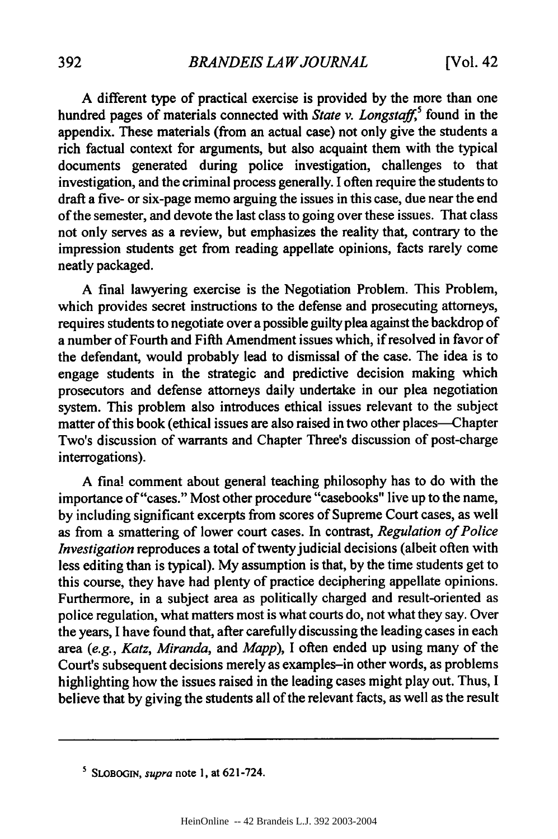A different type of practical exercise is provided by the more than one hundred pages of materials connected with *State v. Longstaff,5* found in the appendix. These materials (from an actual case) not only give the students a rich factual context for arguments, but also acquaint them with the typical documents generated during police investigation, challenges to that investigation, and the criminal process generally. I often require the students to draft a five- or six-page memo arguing the issues in this case, due near the end of the semester, and devote the last class to going over these issues. That class not only serves as a review, but emphasizes the reality that, contrary to the impression students get from reading appellate opinions, facts rarely come neatly packaged.

A final lawyering exercise is the Negotiation Problem. This Problem, which provides secret instructions to the defense and prosecuting attorneys, requires students to negotiate over a possible guilty plea against the backdrop of a number of Fourth and Fifth Amendment issues which, if resolved in favor of the defendant, would probably lead to dismissal of the case. The idea is to engage students in the strategic and predictive decision making which prosecutors and defense attorneys daily undertake in our plea negotiation system. This problem also introduces ethical issues relevant to the subject matter of this book (ethical issues are also raised in two other places—Chapter Two's discussion of warrants and Chapter Three's discussion of post-charge interrogations).

A final comment about general teaching philosophy has to do with the importance of "cases." Most other procedure "casebooks" live up to the name, by including significant excerpts from scores of Supreme Court cases, as well as from a smattering of lower court cases. In contrast, *Regulation of Police Investigation* reproduces a total of twenty judicial decisions (albeit often with less editing than is typical). My assumption is that, by the time students get to this course, they have had plenty of practice deciphering appellate opinions. Furthermore, in a subject area as politically charged and result-oriented as police regulation, what matters most is what courts do, not what they say. Over the years, I have found that, after carefully discussing the leading cases in each area *(e.g., Katz, Miranda, and Mapp),* I often ended up using many of the Court's subsequent decisions merely as examples-in other words, as problems highlighting how the issues raised in the leading cases might play out. Thus, I believe that by giving the students all of the relevant facts, as well as the result

**<sup>5</sup>** SLOBOGIN, *supra* note **1,** at 621-724.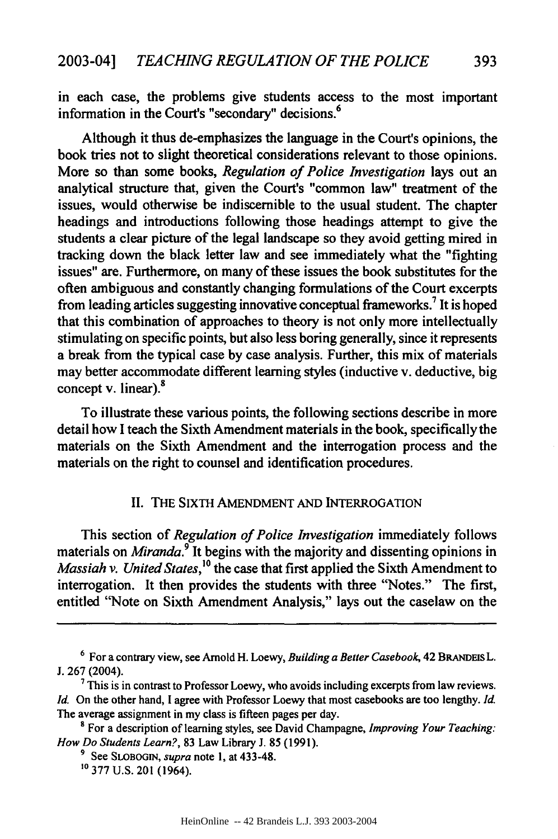in each case, the problems give students access to the most important information in the Court's "secondary" decisions.<sup>6</sup>

Although it thus de-emphasizes the language in the Court's opinions, the book tries not to slight theoretical considerations relevant to those opinions. More so than some books, *Regulation of Police Investigation* lays out an analytical structure that, given the Court's "common law" treatment of the issues, would otherwise be indiscernible to the usual student. The chapter headings and introductions following those headings attempt to give the students a clear picture of the legal landscape so they avoid getting mired in tracking down the black letter law and see immediately what the "fighting issues" are. Furthermore, on many of these issues the book substitutes for the often ambiguous and constantly changing formulations of the Court excerpts from leading articles suggesting innovative conceptual frameworks.<sup>7</sup> It is hoped that this combination of approaches to theory is not only more intellectually stimulating on specific points, but also less boring generally, since it represents a break from the typical case by case analysis. Further, this mix of materials may better accommodate different learning styles (inductive v. deductive, big concept v. linear).<sup>8</sup>

To illustrate these various points, the following sections describe in more detail how **I** teach the Sixth Amendment materials in the book, specifically the materials on the Sixth Amendment and the interrogation process and the materials on the right to counsel and identification procedures.

### II. THE SIxTH AMENDMENT AND INTERROGATION

This section of *Regulation of Police Investigation* immediately follows materials on *Miranda.9* It begins with the majority and dissenting opinions in *Massiah v. United States,'°* the case that first applied the Sixth Amendment to interrogation. It then provides the students with three "Notes." The first, entitled "Note on Sixth Amendment Analysis," lays out the caselaw on the

**<sup>6</sup>**For a contrary view, see Arnold H. Loewy, *Building a Better Casebook,* 42 **BRANDES** L. J. 267 (2004).

**<sup>7</sup>** This is in contrast to Professor Loewy, who avoids including excerpts from law reviews. *Id.* On the other hand, I agree with Professor Loewy that most casebooks are too lengthy. *Id.* The average assignment in my class is fifteen pages per day.

**<sup>8</sup>** For a description of learning styles, see David Champagne, *Improving Your Teaching: How Do Students Learn?,* 83 Law Library J. **85** (1991).

**<sup>9</sup>** See **SLOBOGIN,** *supra* note **1,** at 433-48.

**<sup>10 377</sup>** U.S. 201 (1964).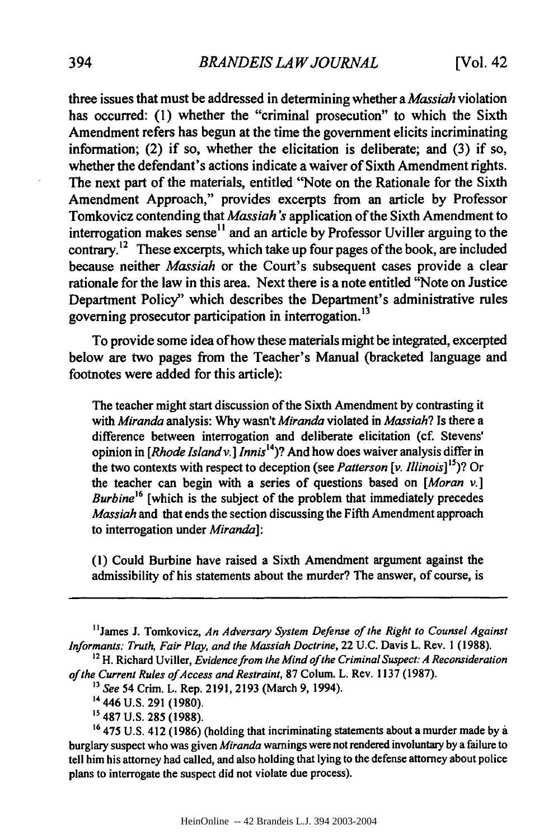three issues that must be addressed in determining whether a *Massiah* violation has occurred: (1) whether the "criminal prosecution" to which the Sixth Amendment refers has begun at the time the government elicits incriminating information; (2) if so, whether the elicitation is deliberate; and (3) if so, whether the defendant's actions indicate a waiver of Sixth Amendment rights. The next part of the materials, entitled "Note on the Rationale for the Sixth Amendment Approach," provides excerpts from an article by Professor Tomkovicz contending that *Massiah's* application of the Sixth Amendment to interrogation makes sense<sup>11</sup> and an article by Professor Uviller arguing to the contrary.<sup>12</sup> These excerpts, which take up four pages of the book, are included because neither *Massiah* or the Court's subsequent cases provide a clear rationale for the law in this area. Next there is a note entitled "Note on Justice Department Policy" which describes the Department's administrative rules governing prosecutor participation in interrogation.<sup>13</sup>

To provide some idea of how these materials might be integrated, excerpted below are two pages from the Teacher's Manual (bracketed language and footnotes were added for this article):

The teacher might start discussion of the Sixth Amendment by contrasting it with *Miranda* analysis: Why wasn't *Miranda* violated in *Massiah?* Is there a difference between interrogation and deliberate elicitation (cf. Stevens' opinion in *[Rhode Island v.] Innis14 )?* And how does waiver analysis differ in the two contexts with respect to deception (see *Patterson [v. Illinois]* 15)? Or the teacher can begin with a series of questions based on *[Moran* **v.]** *Burbine*<sup>16</sup> [which is the subject of the problem that immediately precedes *Massiah* and that ends the section discussing the Fifth Amendment approach to interrogation under *Miranda]:*

(1) Could Burbine have raised a Sixth Amendment argument against the admissibility of his statements about the murder? The answer, of course, is

<sup>&</sup>lt;sup>11</sup> James J. Tomkovicz, An Adversary System Defense of the Right to Counsel Against *Informants: Truth, Fair Play, and the Massiah Doctrine,* 22 U.C. Davis L. Rev. 1 (1988).

**<sup>12</sup>** H. Richard Uviller, *Evidence from the Mind of the Criminal Suspect: A Reconsideration* of the Current Rules of Access and Restraint, 87 Colum. L. Rev. 1137 (1987).

**<sup>13</sup>** *See* 54 Crim. L. Rep. 2191, 2193 (March 9, 1994).

<sup>14</sup> 446 U.S. 291 (1980).

**s** 487 U.S. **285** (1988).

<sup>&</sup>lt;sup>16</sup> 475 U.S. 412 (1986) (holding that incriminating statements about a murder made by a burglary suspect who was given *Miranda* warnings were not rendered involuntary by a failure to tell him his attorney had called, and also holding that lying to the defense attorney about police plans to interrogate the suspect did not violate due process).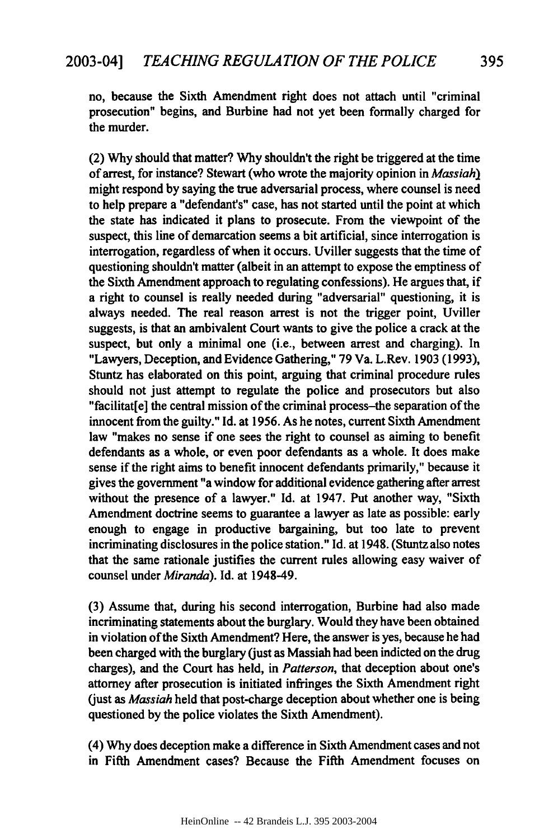no, because the Sixth Amendment right does not attach until "criminal prosecution" begins, and Burbine had not yet been formally charged for the murder.

(2) Why should that matter? Why shouldn't the right be triggered at the time of arrest, for instance? Stewart (who wrote the majority opinion in *Massiah)* might respond by saying the true adversarial process, where counsel is need to help prepare a "defendant's" case, has not started until the point at which the state has indicated it plans to prosecute. From the viewpoint of the suspect, this line of demarcation seems a bit artificial, since interrogation is interrogation, regardless of when it occurs. Uviller suggests that the time of questioning shouldn't matter (albeit in an attempt to expose the emptiness of the Sixth Amendment approach to regulating confessions). He argues that, if a right to counsel is really needed during "adversarial" questioning, it is always needed. The real reason arrest is not the trigger point, Uviller suggests, is that an ambivalent Court wants to give the police a crack at the suspect, but only a minimal one (i.e., between arrest and charging). In "Lawyers, Deception, and Evidence Gathering," 79 Va. L.Rev. 1903 (1993), Stuntz has elaborated on this point, arguing that criminal procedure rules should not just attempt to regulate the police and prosecutors but also "facilitat[e] the central mission of the criminal process-the separation of the innocent from the guilty." Id. at 1956. As he notes, current Sixth Amendment law "makes no sense if one sees the right to counsel as aiming to benefit defendants as a whole, or even poor defendants as a whole. It does make sense if the right aims to benefit innocent defendants primarily," because it gives the government "a window for additional evidence gathering after arrest without the presence of a lawyer." Id. at 1947. Put another way, "Sixth Amendment doctrine seems to guarantee a lawyer as late as possible: early enough to engage in productive bargaining, but too late to prevent incriminating disclosures in the police station." Id. at 1948. (Stuntz also notes that the same rationale justifies the current rules allowing easy waiver of counsel under *Miranda).* Id. at 1948-49.

(3) Assume that, during his second interrogation, Burbine had also made incriminating statements about the burglary. Would they have been obtained in violation of the Sixth Amendment? Here, the answer is yes, because he had been charged with the burglary (just as Massiah had been indicted on the drug charges), and the Court has held, in *Patterson,* that deception about one's attorney after prosecution is initiated infringes the Sixth Amendment right (just as *Massiah* held that post-charge deception about whether one is being questioned **by** the police violates the Sixth Amendment).

(4) **Why** does deception make a difference in Sixth Amendment cases and not in Fifth Amendment cases? Because the Fifth Amendment focuses on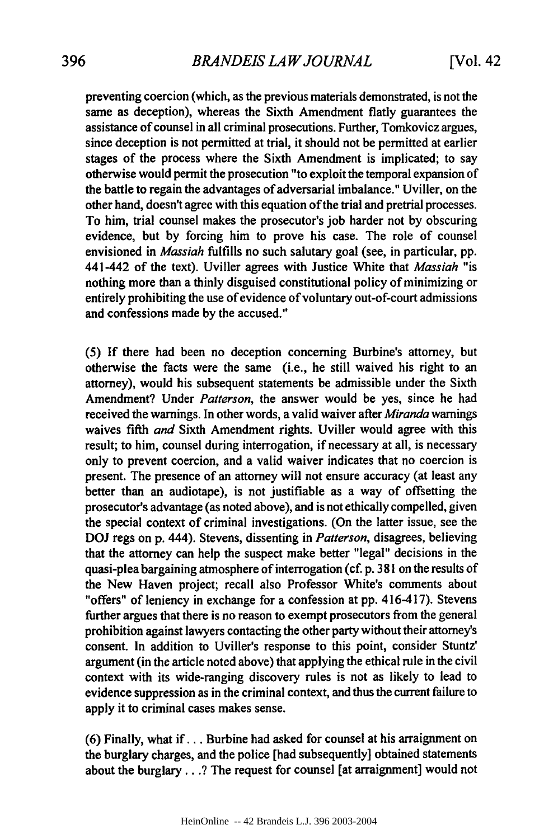preventing coercion (which, as the previous materials demonstrated, is not the same as deception), whereas the Sixth Amendment flatly guarantees the assistance of counsel in all criminal prosecutions. Further, Tomkovicz argues, since deception is not permitted at trial, it should not be permitted at earlier stages of the process where the Sixth Amendment is implicated; to say otherwise would permit the prosecution "to exploit the temporal expansion of the battle to regain the advantages of adversarial imbalance." Uviller, on the other hand, doesn't agree with this equation of the trial and pretrial processes. To him, trial counsel makes the prosecutor's **job** harder not **by** obscuring evidence, but **by** forcing him to prove his case. The role of counsel envisioned in *Massiah* fulfills no such salutary goal (see, in particular, **pp.** 441-442 of the text). Uviller agrees with Justice White that *Massiah* "is nothing more than a thinly disguised constitutional policy of minimizing or entirely prohibiting the use of evidence of voluntary out-of-court admissions and confessions made **by** the accused."

**(5) If** there had been no deception concerning Burbine's attorney, but otherwise the facts were the same (i.e., he still waived his right to an attorney), would his subsequent statements be admissible under the Sixth Amendment? Under *Patterson,* the answer would be yes, since he had received the warnings. In other words, a valid waiver after *Miranda* warnings waives fifth *and* Sixth Amendment rights. Uviller would agree with this result; to him, counsel during interrogation, if necessary at all, is necessary only to prevent coercion, and a valid waiver indicates that no coercion is present. The presence of an attorney will not ensure accuracy (at least any better than an audiotape), is not justifiable as a way of offsetting the prosecutor's advantage (as noted above), and is not ethically compelled, given the special context of criminal investigations. (On the latter issue, see the **DOJ** regs on p. 444). Stevens, dissenting in *Patterson,* disagrees, believing that the attorney can help the suspect make better "legal" decisions in the quasi-plea bargaining atmosphere of interrogation (cf. p. **381** on the results of the New Haven project; recall also Professor White's comments about "offers" of leniency in exchange for a confession at pp. 416-417). Stevens further argues that there is no reason to exempt prosecutors from the general prohibition against lawyers contacting the other party without their attorney's consent. In addition to Uviller's response to this point, consider Stuntz' argument (in the article noted above) that applying the ethical rule in the civil context with its wide-ranging discovery rules is not as likely to lead to evidence suppression as in the criminal context, and thus the current failure to apply it to criminal cases makes sense.

**(6)** Finally, what if... Burbine had asked for counsel at his arraignment on the burglary charges, and the police [had subsequently] obtained statements about the burglary...? The request for counsel [at arraignment] would not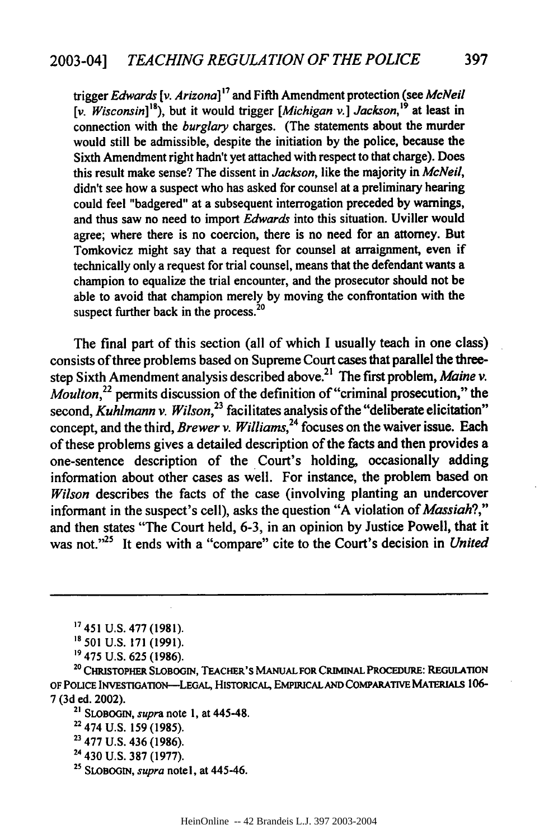trigger *Edwards [v. Arizona]17* and Fifth Amendment protection (see *McNeil [v.* Wisconsin]"8 ), but it would trigger *[Michigan* **v.]** *Jackson,'9* at least in connection with the *burglary* charges. (The statements about the murder would still be admissible, despite the initiation **by** the police, because the Sixth Amendment right hadn't yet attached with respect to that charge). Does this result make sense? The dissent in *Jackson,* like the majority in *McNeil,* didn't see how a suspect who has asked for counsel at a preliminary hearing could feel "badgered" at a subsequent interrogation preceded **by** warnings, and thus saw no need to import *Edwards* into this situation. Uviller would agree; where there is no coercion, there is no need for an attorney. But Tomkovicz might say that a request for counsel at arraignment, even if technically only a request for trial counsel, means that the defendant wants a champion to equalize the trial encounter, and the prosecutor should not be able to avoid that champion merely **by** moving the confrontation with the suspect further back in the process.<sup>20</sup>

The final part of this section (all of which I usually teach in one class) consists of three problems based on Supreme Court cases that parallel the threestep Sixth Amendment analysis described above. 2' The first problem, *Maine v. Moulton,22* permits discussion of the definition of "criminal prosecution," the second, *Kuhlmann v. Wilson*<sup>23</sup> facilitates analysis of the "deliberate elicitation" concept, and the third, *Brewer v. Williams,24* focuses on the waiver issue. Each of these problems gives a detailed description of the facts and then provides a one-sentence description of the Court's holding, occasionally adding information about other cases as well. For instance, the problem based on *Wilson* describes the facts of the case (involving planting an undercover informant in the suspect's cell), asks the question **"A** violation of *Massiah?,"* and then states "The Court held, **6-3,** in an opinion **by** Justice Powell, that it was not."<sup>25</sup> It ends with a "compare" cite to the Court's decision in *United* 

**19 475 U.S.** 625 **(1986).**

<sup>20</sup>**CIsToPHER SLOBOGIN,** TEACHER's MANUAL FOR CRIMINAL PROCEDURE: REGULATION OF **POUCE** INVESTIGATION-LEGAL, HisTORIcAL, EMPIuCAL **AND** COMPARATIVE **MATERIAts** 106- 7 (3d ed. 2002).

**<sup>21</sup>**SLOBOGIN, *supra* note **1,** at 445-48.

- **22** 474 U.S. 159 (1985).
- **23** 477 U.S. 436 (1986).
- **<sup>24</sup>**430 U.S. **387** (1977).
- **<sup>25</sup>**SLOBOGIN, *supra* note I, at 445-46.

**<sup>17</sup> 451 U.S. 477 (1981).**

*<sup>&</sup>quot;* **501 U.S. 171 (1991).**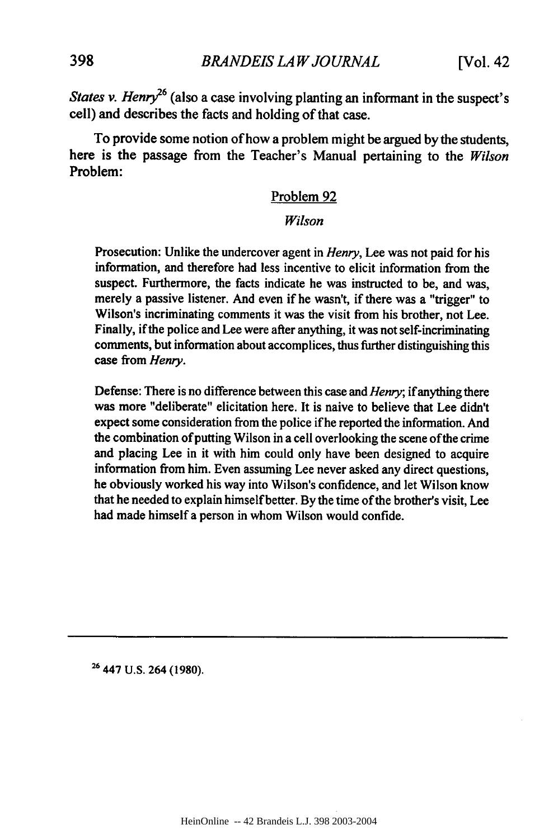*States v. Henry*<sup>26</sup> (also a case involving planting an informant in the suspect's cell) and describes the facts and holding of that case.

To provide some notion of how a problem might be argued by the students, here is the passage from the Teacher's Manual pertaining to the *Wilson* Problem:

#### Problem 92

## *Wilson*

Prosecution: Unlike the undercover agent in *Henry,* Lee was not paid for his information, and therefore had less incentive to elicit information from the suspect. Furthermore, the facts indicate he was instructed to be, and was, merely a passive listener. And even if he wasn't, if there was a "trigger" to Wilson's incriminating comments it was the visit from his brother, not Lee. Finally, if the police and Lee were after anything, it was not self-incriminating comments, but information about accomplices, thus further distinguishing this case from *Henry.*

Defense: There is no difference between this case and *Henry;* if anything there was more "deliberate" elicitation here. It is naive to believe that Lee didn't expect some consideration from the police if he reported the information. And the combination of putting Wilson in a cell overlooking the scene of the crime and placing Lee in it with him could only have been designed to acquire information from him. Even assuming Lee never asked any direct questions, he obviously worked his way into Wilson's confidence, and let Wilson know that he needed to explain himself better. By the time of the brother's visit, Lee had made himself a person in whom Wilson would confide.

**<sup>26</sup>447** U.S. 264 (1980).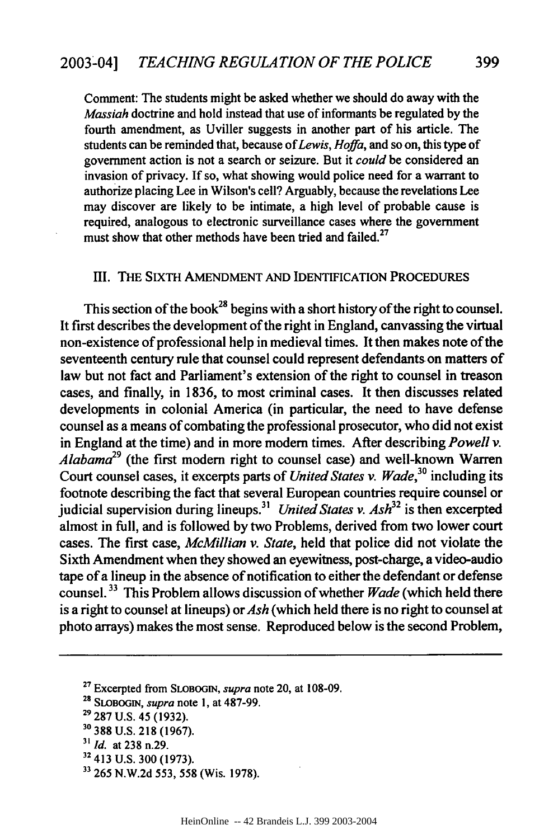Comment: The students might be asked whether we should do away with the *Massiah* doctrine and hold instead that use of informants be regulated **by** the fourth amendment, as Uviller suggests in another part of his article. The students can be reminded that, because *of Lewis, Hoffa,* and so on, this type of government action is not a search or seizure. But it *could* be considered an invasion of privacy. If so, what showing would police need for a warrant to authorize placing Lee in Wilson's cell? Arguably, because the revelations Lee may discover are likely to be intimate, a high level of probable cause is required, analogous to electronic surveillance cases where the government must show that other methods have been tried and failed.<sup>27</sup>

#### I[I. THE SIXTH AMENDMENT **AND** IDENTIFICATION PROCEDURES

This section of the book<sup>28</sup> begins with a short history of the right to counsel. It first describes the development of the right in England, canvassing the virtual non-existence of professional help in medieval times. It then makes note of the seventeenth century rule that counsel could represent defendants on matters of law but not fact and Parliament's extension of the right to counsel in treason cases, and finally, in **1836,** to most criminal cases. It then discusses related developments in colonial America (in particular, the need to have defense counsel as a means of combating the professional prosecutor, who did not exist in England at the time) and in more modem times. After describing *Powell v. Alabama29* (the first modem right to counsel case) and well-known Warren Court counsel cases, it excerpts parts of *United States v. Wade,3°* including its footnote describing the fact that several European countries require counsel or judicial supervision during lineups.<sup>31</sup> United States v. Ash<sup>32</sup> is then excerpted almost in full, and is followed **by** two Problems, derived from two lower court cases. The first case, *McMillian v. State,* held that police did not violate the Sixth Amendment when they showed an eyewitness, post-charge, a video-audio tape of a lineup in the absence of notification to either the defendant or defense counsel.33 This Problem allows discussion of whether *Wade* (which held there is a right to counsel at lineups) or *Ash* (which held there is no right to counsel at photo arrays) makes the most sense. Reproduced below is the second Problem,

**<sup>27</sup>**Excerpted from **SLOBOGIN,** *supra* note 20, at **108-09.**

**399**

**<sup>28</sup> SLOBOGIN,** *supra* note **1,** at **487-99.**

**<sup>29 287</sup> U.S.** 45 **(1932).**

**<sup>30 388</sup> U.S. 218 (1967).**

*<sup>31</sup> Id.* at **238** n.29.

<sup>32 413</sup> **U.S. 300 (1973).**

**<sup>&</sup>quot; 265 N.W.2d 553, 558** (Wis. **1978).**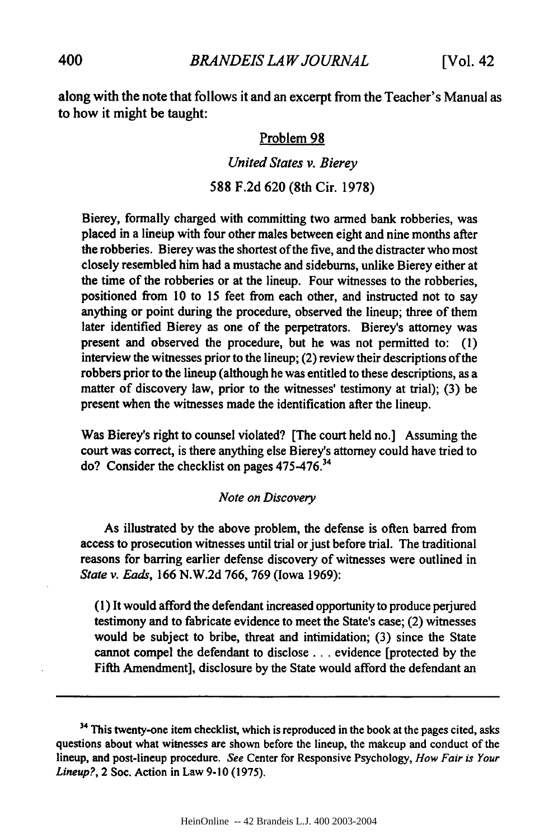along with the note that follows it and an excerpt from the Teacher's Manual as to how it might be taught:

#### Problem 98

#### *United States v. Bierey*

## 588 F.2d 620 (8th Cir. 1978)

Bierey, formally charged with committing two armed bank robberies, was placed in a lineup with four other males between eight and nine months after the robberies. Bierey was the shortest of the five, and the distracter who most closely resembled him had a mustache and sideburns, unlike Bierey either at the time of the robberies or at the lineup. Four witnesses to the robberies, positioned from **10** to **15** feet from each other, and instructed not to say anything or point during the procedure, observed the lineup; three of them later identified Bierey as one of the perpetrators. Bierey's attorney was present and observed the procedure, but he was not permitted to: (1) interview the witnesses prior to the lineup; (2) review their descriptions of the robbers prior to the lineup (although he was entitled to these descriptions, as a matter of discovery law, prior to the witnesses' testimony at trial); (3) be present when the witnesses made the identification after the lineup.

Was Bierey's right to counsel violated? [The court held no.] Assuming the court was correct, is there anything else Bierey's attorney could have tried to do? Consider the checklist on pages 475-476. <sup>34</sup>

#### *Note on Discovery*

As illustrated by the above problem, the defense is often barred from access to prosecution witnesses until trial or just before trial. The traditional reasons for barring earlier defense discovery of witnesses were outlined in *State v. Eads,* 166 N.W.2d 766, 769 (Iowa 1969):

(1) It would afford the defendant increased opportunity to produce perjured testimony and to fabricate evidence to meet the State's case; (2) witnesses would be subject to bribe, threat and intimidation; (3) since the State cannot compel the defendant to disclose **...** evidence [protected by the Fifth Amendment], disclosure by the State would afford the defendant an

<sup>&</sup>lt;sup>34</sup> This twenty-one item checklist, which is reproduced in the book at the pages cited, asks questions about what witnesses are shown before the lineup, the makeup and conduct of the lineup, and post-lineup procedure. *See* Center for Responsive Psychology, *How Fair is Your Lineup?,* 2 Soc. Action in Law 9-10 (1975).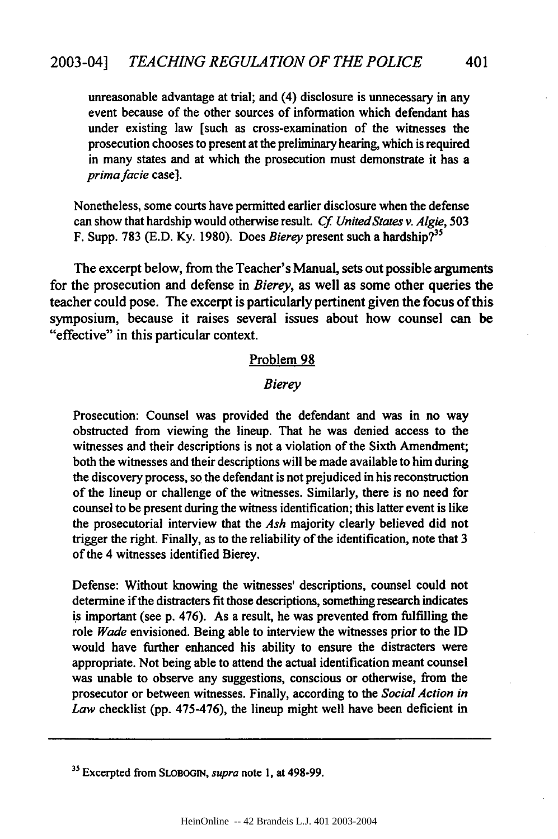unreasonable advantage at trial; and (4) disclosure is unnecessary in any event because of the other sources of information which defendant has under existing law [such as cross-examination of the witnesses the prosecution chooses to present at the preliminary hearing, which is required in many states and at which the prosecution must demonstrate it has a *prima facie* case].

Nonetheless, some courts have permitted earlier disclosure when the defense can show that hardship would otherwise result. *Cf UnitedStates v. Algie,* 503 F. Supp. **783** (E.D. Ky. 1980). Does *Bierey* present such a hardship? <sup>35</sup>

The excerpt below, from the Teacher's Manual, sets out possible arguments for the prosecution and defense in *Bierey,* as well as some other queries the teacher could pose. The excerpt is particularly pertinent given the focus of this symposium, because it raises several issues about how counsel can be "effective" in this particular context.

#### Problem 98

#### *Bierey*

Prosecution: Counsel was provided the defendant and was in no way obstructed from viewing the lineup. That he was denied access to the witnesses and their descriptions is not a violation of the Sixth Amendment; both the witnesses and their descriptions will be made available to him during the discovery process, so the defendant is not prejudiced in his reconstruction of the lineup or challenge of the witnesses. Similarly, there is no need for counsel to be present during the witness identification; this latter event is like the prosecutorial interview that the *Ash* majority clearly believed did not trigger the right. Finally, as to the reliability of the identification, note that **3** of the 4 witnesses identified Bierey.

Defense: Without knowing the witnesses' descriptions, counsel could not determine if the distracters fit those descriptions, something research indicates is important (see **p.** 476). As a result, he was prevented from fulfilling the role *Wade* envisioned. Being able to interview the witnesses prior to the **ID** would have further enhanced his ability to ensure the distracters were appropriate. Not being able to attend the actual identification meant counsel was unable to observe any suggestions, conscious or otherwise, from the prosecutor or between witnesses. Finally, according to the *Social Action in Law* checklist **(pp.** 475-476), the lineup might well have been deficient in

**<sup>3</sup> 5** Excerpted from **SLOBOGIN,** *supra* note **1,** at **498-99.**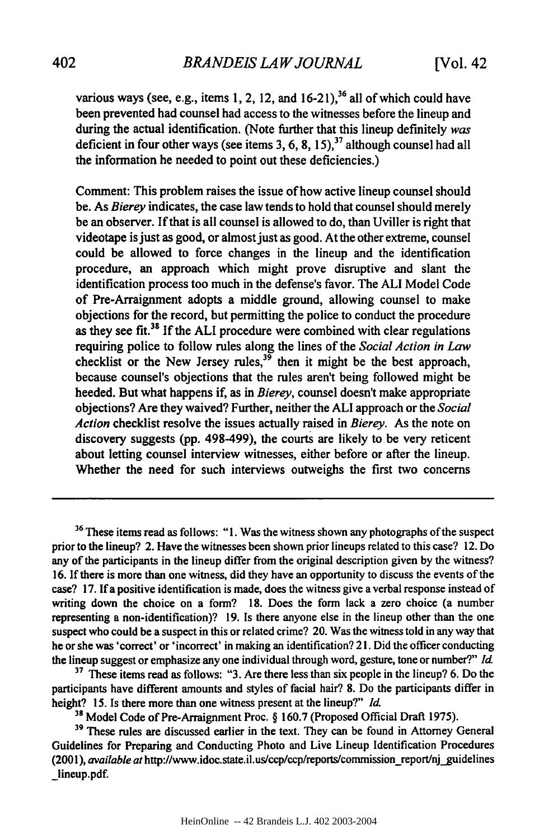various ways (see, e.g., items 1, 2, 12, and 16-21),<sup>36</sup> all of which could have been prevented had counsel had access to the witnesses before the lineup and during the actual identification. (Note further that this lineup definitely was deficient in four other ways (see items 3, 6, 8, 15),<sup>37</sup> although counsel had all the information he needed to point out these deficiencies.)

Comment: This problem raises the issue of how active lineup counsel should be. As Bierey indicates, the case law tends to hold that counsel should merely be an observer. If that is all counsel is allowed to do, than Uviller is right that videotape is just as good, or almost just as good. At the other extreme, counsel could be allowed to force changes in the lineup and the identification procedure, an approach which might prove disruptive and slant the identification process too much in the defense's favor. The ALl Model Code of Pre-Arraignment adopts a middle ground, allowing counsel to make objections for the record, but permitting the police to conduct the procedure as they see fit. $38$  If the ALI procedure were combined with clear regulations requiring police to follow rules along the lines of the *Social Action in Law* checklist or the New Jersey rules,<sup>39</sup> then it might be the best approach, because counsel's objections that the rules aren't being followed might be heeded. But what happens if, as in *Bierey,* counsel doesn't make appropriate objections? Are they waived? Further, neither the ALl approach or the *Social Action* checklist resolve the issues actually raised in *Bierey.* As the note on discovery suggests (pp. 498-499), the courts are likely to be very reticent about letting counsel interview witnesses, either before or after the lineup. Whether the need for such interviews outweighs the first two concerns

**<sup>36</sup>**These items read as follows: "1. Was the witness shown any photographs of the suspect prior to the lineup? 2. Have the witnesses been shown prior lineups related to this case? 12. Do any of the participants in the lineup differ from the original description given by the witness? 16. If there is more than one witness, did they have an opportunity to discuss the events of the case? 17. If a positive identification is made, does the witness give a verbal response instead of writing down the choice on a form? 18. Does the form lack a zero choice (a number representing a non-identification)? 19. Is there anyone else in the lineup other than the one suspect who could be a suspect in this or related crime? 20. Was the witness told in any way that he or she was 'correct' or 'incorrect' in making an identification? 2 **1.** Did the officer conducting the lineup suggest or emphasize any one individual through word, gesture, tone or number?" Id.

<sup>37</sup> These items read as follows: "3. Are there less than six people in the lineup? 6. Do the participants have different amounts and styles of facial hair? 8. Do the participants differ in height? 15. Is there more than one witness present at the lineup?" *Id.*

**<sup>38</sup>**Model Code of Pre-Arraignment Proc. § 160.7 (Proposed Official Draft 1975).

**<sup>39</sup>**These rules are discussed earlier in the text. They can be found in Attorney General Guidelines for Preparing and Conducting Photo and Live Lineup Identification Procedures (2001), *available at* http://www.idoc.state.il.us/ccp/ccp/reports/commission\_report/nj\_guidelines \_lineup.pdf.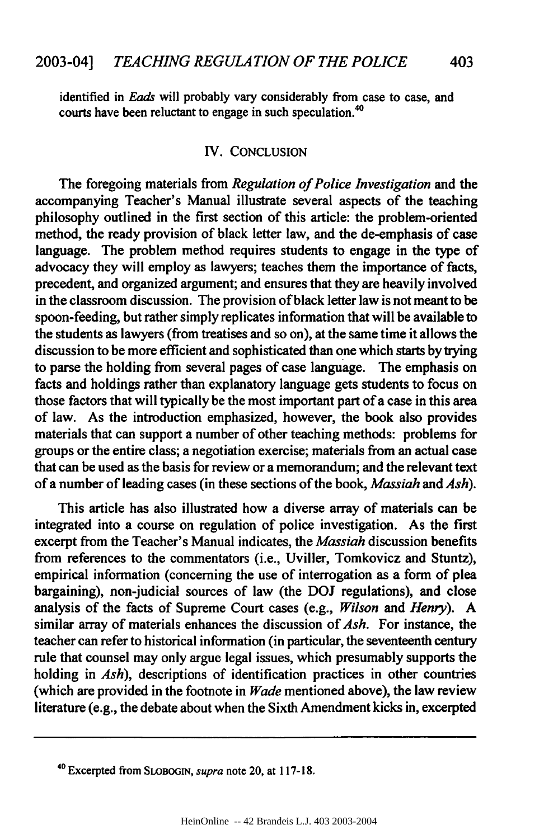**identified in** *Lads* **will probably vary considerably from case to case, and** courts have been reluctant to engage in such speculation.<sup>40</sup>

### IV. **CONCLUSION**

The foregoing materials from *Regulation of Police Investigation* and the accompanying Teacher's Manual illustrate several aspects of the teaching philosophy outlined in the first section of this article: the problem-oriented method, the ready provision of black letter law, and the de-emphasis of case language. The problem method requires students to engage in the type of advocacy they will employ as lawyers; teaches them the importance of facts, precedent, and organized argument; and ensures that they are heavily involved in the classroom discussion. The provision of black letter law is not meant to be spoon-feeding, but rather simply replicates information that will be available to the students as lawyers (from treatises and so on), at the same time it allows the discussion to be more efficient and sophisticated than one which starts **by** trying to parse the holding from several pages of case language. The emphasis on facts and holdings rather than explanatory language gets students to focus on those factors that will typically be the most important part of a case in this area of law. As the introduction emphasized, however, the book also provides materials that can support a number of other teaching methods: problems for groups or the entire class; a negotiation exercise; materials from an actual case that can be used as the basis for review or a memorandum; and the relevant text of a number of leading cases (in these sections of the book, *Massiah and Ash).*

This article has also illustrated how a diverse array of materials can be integrated into a course on regulation of police investigation. As the first excerpt from the Teacher's Manual indicates, the *Massiah* discussion benefits from references to the commentators (i.e., Uviller, Tomkovicz and Stuntz), empirical information (concerning the use of interrogation as a form of plea bargaining), non-judicial sources of law (the **DOJ** regulations), and close analysis of the facts of Supreme Court cases (e.g., *Wilson and Henry). A* similar array of materials enhances the discussion of *Ash.* For instance, the teacher can refer to historical information (in particular, the seventeenth century rule that counsel may only argue legal issues, which presumably supports the holding in *Ash*), descriptions of identification practices in other countries (which are provided in the footnote in *Wade* mentioned above), the law review literature (e.g., the debate about when the Sixth Amendment kicks in, excerpted

<sup>40</sup> Excerpted from **SLOBOGIN,** supra note 20, at **117-18.**